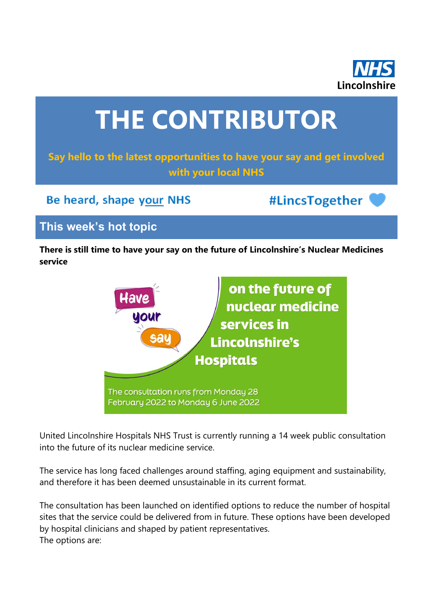

# **THE CONTRIBUTOR**

## **Say hello to the latest opportunities to have your say and get involved with your local NHS**

Be heard, shape your NHS

#LincsTogether

## **This week's hot topic**

**There is still time to have your say on the future of Lincolnshire's Nuclear Medicines service**



United Lincolnshire Hospitals NHS Trust is currently running a 14 week public consultation into the future of its nuclear medicine service.

The service has long faced challenges around staffing, aging equipment and sustainability, and therefore it has been deemed unsustainable in its current format.

The consultation has been launched on identified options to reduce the number of hospital sites that the service could be delivered from in future. These options have been developed by hospital clinicians and shaped by patient representatives. The options are: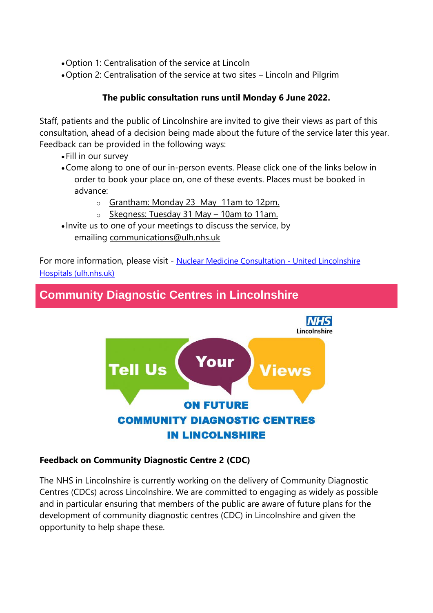•Option 1: Centralisation of the service at Lincoln

•Option 2: Centralisation of the service at two sites – Lincoln and Pilgrim

#### **The public consultation runs until Monday 6 June 2022.**

Staff, patients and the public of Lincolnshire are invited to give their views as part of this consultation, ahead of a decision being made about the future of the service later this year. Feedback can be provided in the following ways:

- •[Fill in our survey](https://nhslincolnshire.qualtrics.com/jfe/form/SV_9AA8h9CoAvknTf0?Q_CHL=qr)
- •Come along to one of our in-person events. Please click one of the links below in order to book your place on, one of these events. Places must be booked in advance:
	- o [Grantham: Monday 23 May](https://www.eventbrite.com/e/313238493767) 11am to 12pm.
	- o [Skegness: Tuesday 31 May](https://www.eventbrite.com/e/313216156957)  10am to 11am.
- Invite us to one of your meetings to discuss the service, by emailing [communications@ulh.nhs.uk](mailto:communications@ulh.nhs.uk)

For more information, please visit - [Nuclear Medicine Consultation -](https://www.ulh.nhs.uk/about/have-your-say/sharing-your-views/nuclear-medicine-consultation/) United Lincolnshire [Hospitals \(ulh.nhs.uk\)](https://www.ulh.nhs.uk/about/have-your-say/sharing-your-views/nuclear-medicine-consultation/)

## **Community Diagnostic Centres in Lincolnshire**



#### **Feedback on Community Diagnostic Centre 2 (CDC)**

The NHS in Lincolnshire is currently working on the delivery of Community Diagnostic Centres (CDCs) across Lincolnshire. We are committed to engaging as widely as possible and in particular ensuring that members of the public are aware of future plans for the development of community diagnostic centres (CDC) in Lincolnshire and given the opportunity to help shape these.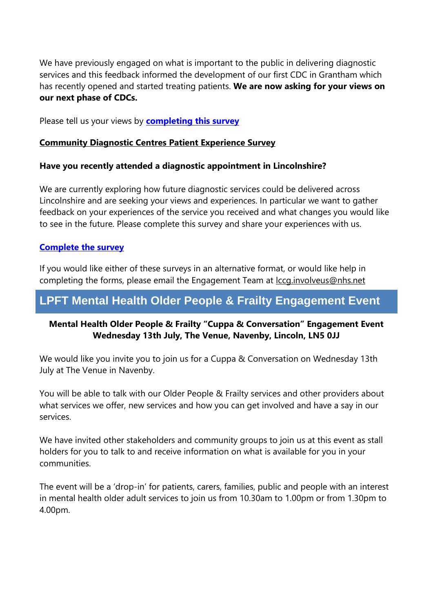We have previously engaged on what is important to the public in delivering diagnostic services and this feedback informed the development of our first CDC in Grantham which has recently opened and started treating patients. **We are now asking for your views on our next phase of CDCs.**

Please tell us your views by **[completing this survey](https://nhslincolnshire.qualtrics.com/jfe/form/SV_dnABLBwMmkuio62)**

#### **Community Diagnostic Centres Patient Experience Survey**

#### **Have you recently attended a diagnostic appointment in Lincolnshire?**

We are currently exploring how future diagnostic services could be delivered across Lincolnshire and are seeking your views and experiences. In particular we want to gather feedback on your experiences of the service you received and what changes you would like to see in the future. Please complete this survey and share your experiences with us.

#### **[Complete the survey](https://nhslincolnshire.qualtrics.com/jfe/form/SV_0fzch2pIsBLVxtk)**

If you would like either of these surveys in an alternative format, or would like help in completing the forms, please email the Engagement Team at [lccg.involveus@nhs.net](mailto:lccg.involveus@nhs.net)

## **LPFT Mental Health Older People & Frailty Engagement Event**

#### **Mental Health Older People & Frailty "Cuppa & Conversation" Engagement Event Wednesday 13th July, The Venue, Navenby, Lincoln, LN5 0JJ**

We would like you invite you to join us for a Cuppa & Conversation on Wednesday 13th July at The Venue in Navenby.

You will be able to talk with our Older People & Frailty services and other providers about what services we offer, new services and how you can get involved and have a say in our services.

We have invited other stakeholders and community groups to join us at this event as stall holders for you to talk to and receive information on what is available for you in your communities.

The event will be a 'drop-in' for patients, carers, families, public and people with an interest in mental health older adult services to join us from 10.30am to 1.00pm or from 1.30pm to 4.00pm.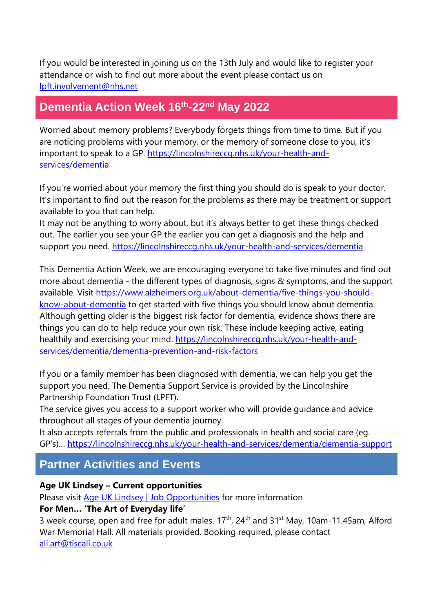If you would be interested in joining us on the 13th July and would like to register your attendance or wish to find out more about the event please contact us on [lpft.involvement@nhs.net](mailto:lpft.involvement@nhs.net)

## **Dementia Action Week 16th-22nd May 2022**

Worried about memory problems? Everybody forgets things from time to time. But if you are noticing problems with your memory, or the memory of someone close to you, it's important to speak to a GP. [https://lincolnshireccg.nhs.uk/your-health-and](https://lincolnshireccg.nhs.uk/your-health-and-services/dementia)[services/dementia](https://lincolnshireccg.nhs.uk/your-health-and-services/dementia)

If you're worried about your memory the first thing you should do is speak to your doctor. It's important to find out the reason for the problems as there may be treatment or support available to you that can help.

It may not be anything to worry about, but it's always better to get these things checked out. The earlier you see your GP the earlier you can get a diagnosis and the help and support you need.<https://lincolnshireccg.nhs.uk/your-health-and-services/dementia>

This Dementia Action Week, we are encouraging everyone to take five minutes and find out more about dementia - the different types of diagnosis, signs & symptoms, and the support available. Visit [https://www.alzheimers.org.uk/about-dementia/five-things-you-should](https://www.alzheimers.org.uk/about-dementia/five-things-you-should-know-about-dementia)[know-about-dementia](https://www.alzheimers.org.uk/about-dementia/five-things-you-should-know-about-dementia) to get started with five things you should know about dementia. Although getting older is the biggest risk factor for dementia, evidence shows there are things you can do to help reduce your own risk. These include keeping active, eating healthily and exercising your mind. [https://lincolnshireccg.nhs.uk/your-health-and](https://lincolnshireccg.nhs.uk/your-health-and-services/dementia/dementia-prevention-and-risk-factors)[services/dementia/dementia-prevention-and-risk-factors](https://lincolnshireccg.nhs.uk/your-health-and-services/dementia/dementia-prevention-and-risk-factors)

If you or a family member has been diagnosed with dementia, we can help you get the support you need. The Dementia Support Service is provided by the Lincolnshire Partnership Foundation Trust (LPFT).

The service gives you access to a support worker who will provide guidance and advice throughout all stages of your dementia journey.

It also accepts referrals from the public and professionals in health and social care (eg. GP's)… <https://lincolnshireccg.nhs.uk/your-health-and-services/dementia/dementia-support>

## **Partner Activities and Events**

#### **Age UK Lindsey – Current opportunities**

Please visit [Age UK Lindsey | Job Opportunities](https://www.ageuk.org.uk/lindsey/about-us/work-for-us/) for more information

#### **For Men… 'The Art of Everyday life'**

3 week course, open and free for adult males.  $17<sup>th</sup>$ ,  $24<sup>th</sup>$  and  $31<sup>st</sup>$  May, 10am-11.45am, Alford War Memorial Hall. All materials provided. Booking required, please contact [ali.art@tiscali.co.uk](mailto:ali.art@tiscali.co.uk)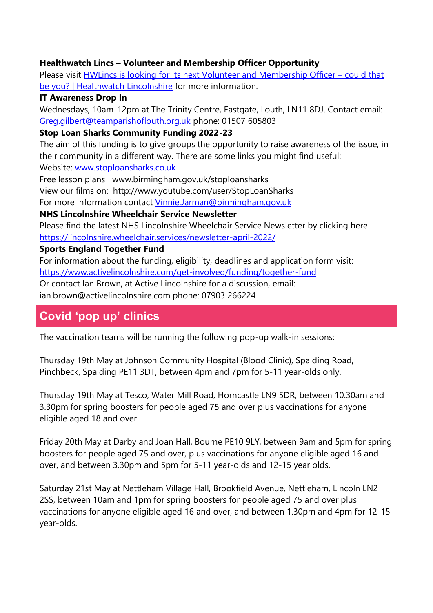#### **Healthwatch Lincs – Volunteer and Membership Officer Opportunity**

Please visit **HWLincs is looking for its next Volunteer and Membership Officer – could that** [be you? | Healthwatch Lincolnshire](https://www.healthwatchlincolnshire.co.uk/news/2022-05-06/hwlincs-looking-its-next-volunteer-and-membership-officer-%E2%80%93-could-be-you) for more information.

#### **IT Awareness Drop In**

Wednesdays, 10am-12pm at The Trinity Centre, Eastgate, Louth, LN11 8DJ. Contact email: [Greg.gilbert@teamparishoflouth.org.uk](mailto:Greg.gilbert@teamparishoflouth.org.uk) phone: 01507 605803

#### **Stop Loan Sharks Community Funding 2022-23**

The aim of this funding is to give groups the opportunity to raise awareness of the issue, in their community in a different way. There are some links you might find useful: Website: [www.stoploansharks.co.uk](http://www.stoploansharks.co.uk/)

Free lesson plans [www.birmingham.gov.uk/stoploansharks](http://www.birmingham.gov.uk/stoploansharks)

View our films on: <http://www.youtube.com/user/StopLoanSharks>

For more information contact [Vinnie.Jarman@birmingham.gov.uk](mailto:Vinnie.Jarman@birmingham.gov.uk)

#### **NHS Lincolnshire Wheelchair Service Newsletter**

Please find the latest NHS Lincolnshire Wheelchair Service Newsletter by clicking here <https://lincolnshire.wheelchair.services/newsletter-april-2022/>

#### **Sports England Together Fund**

For information about the funding, eligibility, deadlines and application form visit: <https://www.activelincolnshire.com/get-involved/funding/together-fund>

Or contact Ian Brown, at Active Lincolnshire for a discussion, email:

ian.brown@activelincolnshire.com phone: 07903 266224

## **Covid 'pop up' clinics**

The vaccination teams will be running the following pop-up walk-in sessions:

Thursday 19th May at Johnson Community Hospital (Blood Clinic), Spalding Road, Pinchbeck, Spalding PE11 3DT, between 4pm and 7pm for 5-11 year-olds only.

Thursday 19th May at Tesco, Water Mill Road, Horncastle LN9 5DR, between 10.30am and 3.30pm for spring boosters for people aged 75 and over plus vaccinations for anyone eligible aged 18 and over.

Friday 20th May at Darby and Joan Hall, Bourne PE10 9LY, between 9am and 5pm for spring boosters for people aged 75 and over, plus vaccinations for anyone eligible aged 16 and over, and between 3.30pm and 5pm for 5-11 year-olds and 12-15 year olds.

Saturday 21st May at Nettleham Village Hall, Brookfield Avenue, Nettleham, Lincoln LN2 2SS, between 10am and 1pm for spring boosters for people aged 75 and over plus vaccinations for anyone eligible aged 16 and over, and between 1.30pm and 4pm for 12-15 year-olds.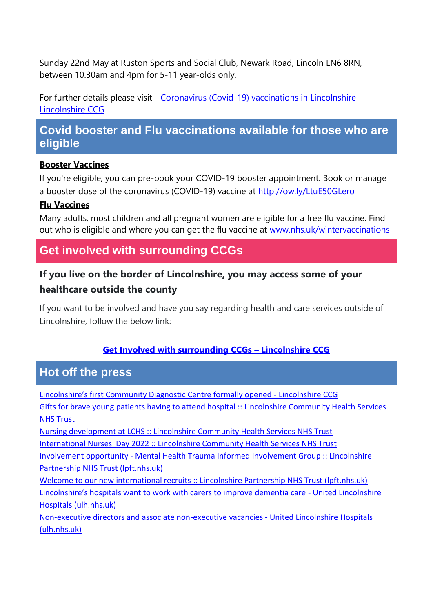Sunday 22nd May at Ruston Sports and Social Club, Newark Road, Lincoln LN6 8RN, between 10.30am and 4pm for 5-11 year-olds only.

For further details please visit - [Coronavirus \(Covid-19\) vaccinations in Lincolnshire -](https://lincolnshireccg.nhs.uk/grab-a-jab/) [Lincolnshire CCG](https://lincolnshireccg.nhs.uk/grab-a-jab/)

## **Covid booster and Flu vaccinations available for those who are eligible**

#### **Booster Vaccines**

If you're eligible, you can pre-book your COVID-19 booster appointment. Book or manage a booster dose of the coronavirus (COVID-19) vaccine at [http://ow.ly/LtuE50GLero](http://ow.ly/LtuE50GLero?fbclid=IwAR3XJEWleqYaBsRKKEZvzOQTPhh6xJMHMX7CjAbY_UUfz6ZWyBf0D1-L7zQ)

#### **Flu Vaccines**

Many adults, most children and all pregnant women are eligible for a free flu vaccine. Find out who is eligible and where you can get the flu vaccine at [www.nhs.uk/wintervaccinations](http://www.nhs.uk/wintervaccinations?fbclid=IwAR1SzErYHhJMDfl_VlN1aZcnq-67N6npy7XQ2Y4ZA4Yp1fEVZXhfvNfkDrs)

## **Get involved with surrounding CCGs**

## **If you live on the border of Lincolnshire, you may access some of your healthcare outside the county**

If you want to be involved and have you say regarding health and care services outside of Lincolnshire, follow the below link:

#### **[Get Involved with surrounding CCGs](https://lincolnshireccg.nhs.uk/get-involved/how-to-get-involved/get-involved-with-surrounding-ccgs/) – Lincolnshire CCG**

### **Hot off the press**

[Lincolnshire's first Community Diagnostic Centre formally opened](https://lincolnshireccg.nhs.uk/lincolnshires-first-community-diagnostic-centre-formally-opened/) - Lincolnshire CCG [Gifts for brave young patients having to attend hospital :: Lincolnshire Community Health Services](https://www.lincolnshirecommunityhealthservices.nhs.uk/latest-news/gifts-brave-young-patients-having-attend-hospital)  [NHS Trust](https://www.lincolnshirecommunityhealthservices.nhs.uk/latest-news/gifts-brave-young-patients-having-attend-hospital) [Nursing development at LCHS :: Lincolnshire Community Health Services NHS Trust](https://www.lincolnshirecommunityhealthservices.nhs.uk/latest-news/nursing-development-lchs) [International Nurses' Day 2022 :: Lincolnshire Community Health Services NHS Trust](https://www.lincolnshirecommunityhealthservices.nhs.uk/latest-news/international-nurses-day-2022) Involvement opportunity - [Mental Health Trauma Informed Involvement Group :: Lincolnshire](https://www.lpft.nhs.uk/news-and-events/news/involvement-opportunity-mental-health-trauma-informed-involvement-group)  [Partnership NHS Trust \(lpft.nhs.uk\)](https://www.lpft.nhs.uk/news-and-events/news/involvement-opportunity-mental-health-trauma-informed-involvement-group) Welcome to our new international recruits [:: Lincolnshire Partnership NHS Trust \(lpft.nhs.uk\)](https://www.lpft.nhs.uk/news-and-events/news/welcome-our-new-international-recruits) [Lincolnshire's hospitals want to work with carers to improve dementia care](https://www.ulh.nhs.uk/news/lincolnshires-hospitals-want-to-work-with-carers-to-improve-dementia-care/) - United Lincolnshire [Hospitals \(ulh.nhs.uk\)](https://www.ulh.nhs.uk/news/lincolnshires-hospitals-want-to-work-with-carers-to-improve-dementia-care/) [Non-executive directors and associate non-executive vacancies -](https://www.ulh.nhs.uk/news/non-executive-directors-and-associate-non-executive-vacancies/) United Lincolnshire Hospitals [\(ulh.nhs.uk\)](https://www.ulh.nhs.uk/news/non-executive-directors-and-associate-non-executive-vacancies/)